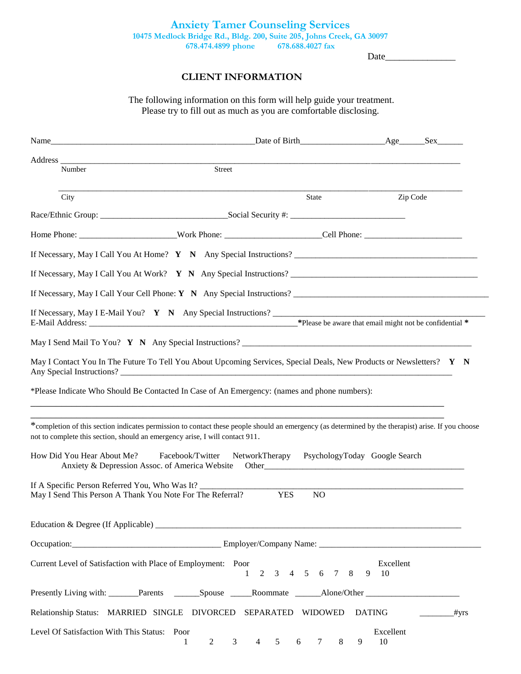Date\_\_\_\_\_\_\_\_\_\_\_\_\_\_\_

## **CLIENT INFORMATION**

The following information on this form will help guide your treatment. Please try to fill out as much as you are comfortable disclosing.

|                                                | Name Sex Sex Date of Birth Age Sex                                                                                                                                                                                                 |                |                        |
|------------------------------------------------|------------------------------------------------------------------------------------------------------------------------------------------------------------------------------------------------------------------------------------|----------------|------------------------|
| Address_<br>Number                             | Street                                                                                                                                                                                                                             |                |                        |
|                                                |                                                                                                                                                                                                                                    |                |                        |
| City                                           |                                                                                                                                                                                                                                    | State          | Zip Code               |
|                                                |                                                                                                                                                                                                                                    |                |                        |
|                                                |                                                                                                                                                                                                                                    |                |                        |
|                                                | If Necessary, May I Call You At Home? $Y \cap N$ Any Special Instructions?                                                                                                                                                         |                |                        |
|                                                | If Necessary, May I Call You At Work? $Y \ N$ Any Special Instructions?                                                                                                                                                            |                |                        |
|                                                | If Necessary, May I Call Your Cell Phone: $Y \ N$ Any Special Instructions?                                                                                                                                                        |                |                        |
|                                                |                                                                                                                                                                                                                                    |                |                        |
|                                                |                                                                                                                                                                                                                                    |                |                        |
|                                                | May I Contact You In The Future To Tell You About Upcoming Services, Special Deals, New Products or Newsletters? Y N<br>*Please Indicate Who Should Be Contacted In Case of An Emergency: (names and phone numbers):               |                |                        |
|                                                | *completion of this section indicates permission to contact these people should an emergency (as determined by the therapist) arise. If you choose<br>not to complete this section, should an emergency arise, I will contact 911. |                |                        |
| How Did You Hear About Me?                     | Facebook/Twitter NetworkTherapy PsychologyToday Google Search                                                                                                                                                                      |                |                        |
| If A Specific Person Referred You, Who Was It? | May I Send This Person A Thank You Note For The Referral?<br><b>YES</b>                                                                                                                                                            | N <sub>O</sub> |                        |
|                                                |                                                                                                                                                                                                                                    |                |                        |
|                                                |                                                                                                                                                                                                                                    |                |                        |
|                                                | Current Level of Satisfaction with Place of Employment: Poor                                                                                                                                                                       | 2 3 4 5 6 7 8  | Excellent<br>9<br>- 10 |
|                                                |                                                                                                                                                                                                                                    |                |                        |
|                                                | Relationship Status: MARRIED SINGLE DIVORCED SEPARATED WIDOWED                                                                                                                                                                     |                | <b>DATING</b><br>_#yrs |
| Level Of Satisfaction With This Status: Poor   | $\overline{2}$<br>$\mathfrak{Z}$<br>$\overline{4}$<br>5<br>1                                                                                                                                                                       | 6<br>7<br>8    | Excellent<br>10<br>9   |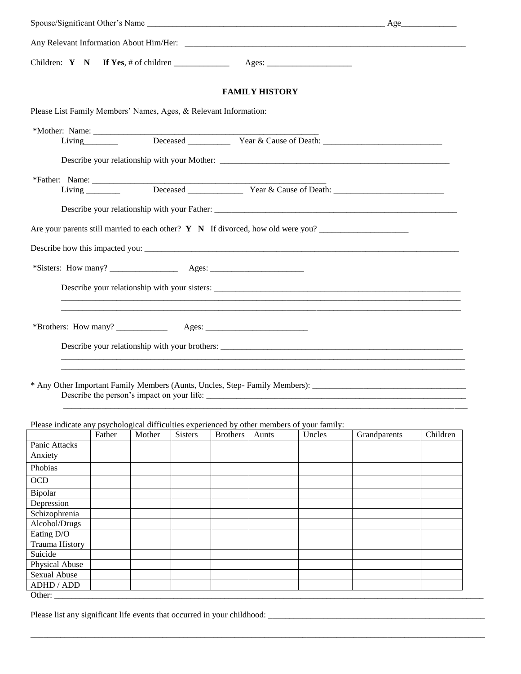|                                                                                             |        |                                            |                |                 | <b>FAMILY HISTORY</b> |        |                                                                                      |          |
|---------------------------------------------------------------------------------------------|--------|--------------------------------------------|----------------|-----------------|-----------------------|--------|--------------------------------------------------------------------------------------|----------|
| Please List Family Members' Names, Ages, & Relevant Information:                            |        |                                            |                |                 |                       |        |                                                                                      |          |
|                                                                                             |        |                                            |                |                 |                       |        |                                                                                      |          |
|                                                                                             |        |                                            |                |                 |                       |        | Living Deceased <u>Constant Cause of Death:</u>                                      |          |
|                                                                                             |        |                                            |                |                 |                       |        |                                                                                      |          |
|                                                                                             |        |                                            |                |                 |                       |        |                                                                                      |          |
|                                                                                             |        |                                            |                |                 |                       |        |                                                                                      |          |
|                                                                                             |        |                                            |                |                 |                       |        |                                                                                      |          |
|                                                                                             |        |                                            |                |                 |                       |        |                                                                                      |          |
|                                                                                             |        |                                            |                |                 |                       |        | Are your parents still married to each other? $Y \ N$ If divorced, how old were you? |          |
|                                                                                             |        |                                            |                |                 |                       |        |                                                                                      |          |
|                                                                                             |        |                                            |                |                 |                       |        |                                                                                      |          |
|                                                                                             |        |                                            |                |                 |                       |        |                                                                                      |          |
|                                                                                             |        |                                            |                |                 |                       |        |                                                                                      |          |
|                                                                                             |        |                                            |                |                 |                       |        |                                                                                      |          |
|                                                                                             |        |                                            |                |                 |                       |        |                                                                                      |          |
|                                                                                             |        |                                            |                |                 |                       |        |                                                                                      |          |
|                                                                                             |        |                                            |                |                 |                       |        |                                                                                      |          |
|                                                                                             |        |                                            |                |                 |                       |        |                                                                                      |          |
|                                                                                             |        |                                            |                |                 |                       |        |                                                                                      |          |
|                                                                                             |        | Describe the person's impact on your life: |                |                 |                       |        |                                                                                      |          |
|                                                                                             |        |                                            |                |                 |                       |        |                                                                                      |          |
|                                                                                             |        |                                            |                |                 |                       |        |                                                                                      |          |
| Please indicate any psychological difficulties experienced by other members of your family: | Father | Mother                                     | <b>Sisters</b> | <b>Brothers</b> | Aunts                 | Uncles | Grandparents                                                                         | Children |
| Panic Attacks                                                                               |        |                                            |                |                 |                       |        |                                                                                      |          |
| Anxiety                                                                                     |        |                                            |                |                 |                       |        |                                                                                      |          |
| Phobias                                                                                     |        |                                            |                |                 |                       |        |                                                                                      |          |
| <b>OCD</b>                                                                                  |        |                                            |                |                 |                       |        |                                                                                      |          |
|                                                                                             |        |                                            |                |                 |                       |        |                                                                                      |          |
| Bipolar                                                                                     |        |                                            |                |                 |                       |        |                                                                                      |          |
| Depression<br>Schizophrenia                                                                 |        |                                            |                |                 |                       |        |                                                                                      |          |
| Alcohol/Drugs                                                                               |        |                                            |                |                 |                       |        |                                                                                      |          |
| Eating D/O                                                                                  |        |                                            |                |                 |                       |        |                                                                                      |          |
| <b>Trauma History</b>                                                                       |        |                                            |                |                 |                       |        |                                                                                      |          |
| Suicide                                                                                     |        |                                            |                |                 |                       |        |                                                                                      |          |
| Physical Abuse                                                                              |        |                                            |                |                 |                       |        |                                                                                      |          |
| Sexual Abuse                                                                                |        |                                            |                |                 |                       |        |                                                                                      |          |
| ADHD / ADD                                                                                  |        |                                            |                |                 |                       |        |                                                                                      |          |

\_\_\_\_\_\_\_\_\_\_\_\_\_\_\_\_\_\_\_\_\_\_\_\_\_\_\_\_\_\_\_\_\_\_\_\_\_\_\_\_\_\_\_\_\_\_\_\_\_\_\_\_\_\_\_\_\_\_\_\_\_\_\_\_\_\_\_\_\_\_\_\_\_\_\_\_\_\_\_\_\_\_\_\_\_\_\_\_\_\_\_\_\_\_\_\_\_\_\_\_\_\_\_\_\_\_\_

Other: \_\_\_\_\_\_\_\_\_\_\_\_\_\_\_\_\_\_\_\_\_\_\_\_\_\_\_\_\_\_\_\_\_\_\_\_\_\_\_\_\_\_\_\_\_\_\_\_\_\_\_\_\_\_\_\_\_\_\_\_\_\_\_\_\_\_\_\_\_\_\_\_\_\_\_\_\_\_\_\_\_\_\_\_\_\_\_\_\_\_\_\_\_\_\_\_\_\_\_\_\_

Please list any significant life events that occurred in your childhood: \_\_\_\_\_\_\_\_\_\_\_\_\_\_\_\_\_\_\_\_\_\_\_\_\_\_\_\_\_\_\_\_\_\_\_\_\_\_\_\_\_\_\_\_\_\_\_\_\_\_\_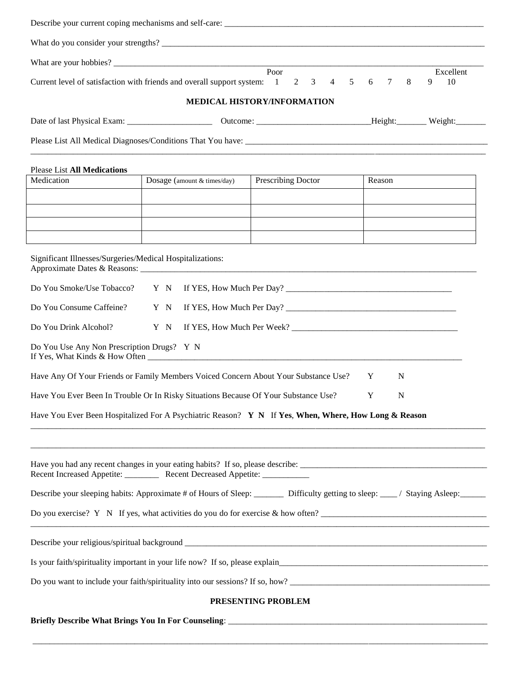| Current level of satisfaction with friends and overall support system: 1                                                            |                             | Poor<br>$\mathfrak{Z}$<br>$\overline{4}$<br>5<br>2                                                                    | Excellent<br>8<br>9<br>10<br>6<br>7 |  |  |  |
|-------------------------------------------------------------------------------------------------------------------------------------|-----------------------------|-----------------------------------------------------------------------------------------------------------------------|-------------------------------------|--|--|--|
|                                                                                                                                     |                             | MEDICAL HISTORY/INFORMATION                                                                                           |                                     |  |  |  |
|                                                                                                                                     |                             |                                                                                                                       |                                     |  |  |  |
|                                                                                                                                     |                             |                                                                                                                       |                                     |  |  |  |
| <b>Please List All Medications</b>                                                                                                  |                             |                                                                                                                       |                                     |  |  |  |
| Medication                                                                                                                          | Dosage (amount & times/day) | <b>Prescribing Doctor</b>                                                                                             | Reason                              |  |  |  |
|                                                                                                                                     |                             |                                                                                                                       |                                     |  |  |  |
|                                                                                                                                     |                             |                                                                                                                       |                                     |  |  |  |
|                                                                                                                                     |                             |                                                                                                                       |                                     |  |  |  |
| Significant Illnesses/Surgeries/Medical Hospitalizations:                                                                           |                             |                                                                                                                       |                                     |  |  |  |
| Do You Smoke/Use Tobacco? Y N                                                                                                       |                             |                                                                                                                       |                                     |  |  |  |
| Do You Consume Caffeine?                                                                                                            | Y N                         | If YES, How Much Per Day?                                                                                             |                                     |  |  |  |
| Do You Drink Alcohol?                                                                                                               | Y N                         |                                                                                                                       |                                     |  |  |  |
| Do You Use Any Non Prescription Drugs? Y N                                                                                          |                             | If Yes, What Kinds & How Often <b>Container and Container and Container</b> and Container and Container and Container |                                     |  |  |  |
| Have Any Of Your Friends or Family Members Voiced Concern About Your Substance Use?                                                 |                             |                                                                                                                       | Y<br>N                              |  |  |  |
| Have You Ever Been In Trouble Or In Risky Situations Because Of Your Substance Use?<br>Y<br>N                                       |                             |                                                                                                                       |                                     |  |  |  |
|                                                                                                                                     |                             | Have You Ever Been Hospitalized For A Psychiatric Reason? Y N If Yes, When, Where, How Long & Reason                  |                                     |  |  |  |
|                                                                                                                                     |                             |                                                                                                                       |                                     |  |  |  |
| Recent Increased Appetite: Recent Decreased Appetite: ___________                                                                   |                             |                                                                                                                       |                                     |  |  |  |
| Describe your sleeping habits: Approximate # of Hours of Sleep: ________ Difficulty getting to sleep: ____/ Staying Asleep: _______ |                             |                                                                                                                       |                                     |  |  |  |
| Do you exercise? Y N If yes, what activities do you do for exercise $&$ how often?                                                  |                             |                                                                                                                       |                                     |  |  |  |
|                                                                                                                                     |                             |                                                                                                                       |                                     |  |  |  |
|                                                                                                                                     |                             |                                                                                                                       |                                     |  |  |  |
| Do you want to include your faith/spirituality into our sessions? If so, how?                                                       |                             |                                                                                                                       |                                     |  |  |  |
| PRESENTING PROBLEM                                                                                                                  |                             |                                                                                                                       |                                     |  |  |  |
|                                                                                                                                     |                             |                                                                                                                       |                                     |  |  |  |

\_\_\_\_\_\_\_\_\_\_\_\_\_\_\_\_\_\_\_\_\_\_\_\_\_\_\_\_\_\_\_\_\_\_\_\_\_\_\_\_\_\_\_\_\_\_\_\_\_\_\_\_\_\_\_\_\_\_\_\_\_\_\_\_\_\_\_\_\_\_\_\_\_\_\_\_\_\_\_\_\_\_\_\_\_\_\_\_\_\_\_\_\_\_\_\_\_\_\_\_\_\_\_\_\_\_\_